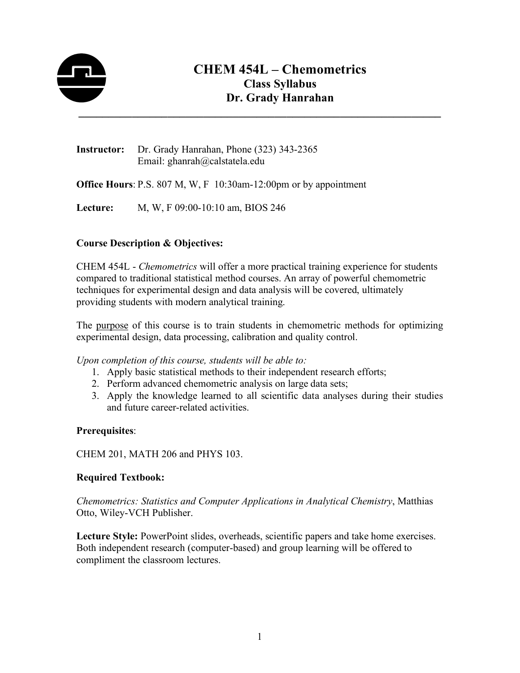

# **CHEM 454L – Chemometrics Class Syllabus Dr. Grady Hanrahan**

**Instructor:** Dr. Grady Hanrahan, Phone (323) 343-2365 Email: ghanrah@calstatela.edu

**Office Hours**: P.S. 807 M, W, F 10:30am-12:00pm or by appointment

**Lecture:** M, W, F 09:00-10:10 am, BIOS 246

# **Course Description & Objectives:**

CHEM 454L - *Chemometrics* will offer a more practical training experience for students compared to traditional statistical method courses. An array of powerful chemometric techniques for experimental design and data analysis will be covered, ultimately providing students with modern analytical training.

The purpose of this course is to train students in chemometric methods for optimizing experimental design, data processing, calibration and quality control.

*Upon completion of this course, students will be able to:*

- 1. Apply basic statistical methods to their independent research efforts;
- 2. Perform advanced chemometric analysis on large data sets;
- 3. Apply the knowledge learned to all scientific data analyses during their studies and future career-related activities.

#### **Prerequisites**:

CHEM 201, MATH 206 and PHYS 103.

#### **Required Textbook:**

*Chemometrics: Statistics and Computer Applications in Analytical Chemistry*, Matthias Otto, Wiley-VCH Publisher.

**Lecture Style:** PowerPoint slides, overheads, scientific papers and take home exercises. Both independent research (computer-based) and group learning will be offered to compliment the classroom lectures.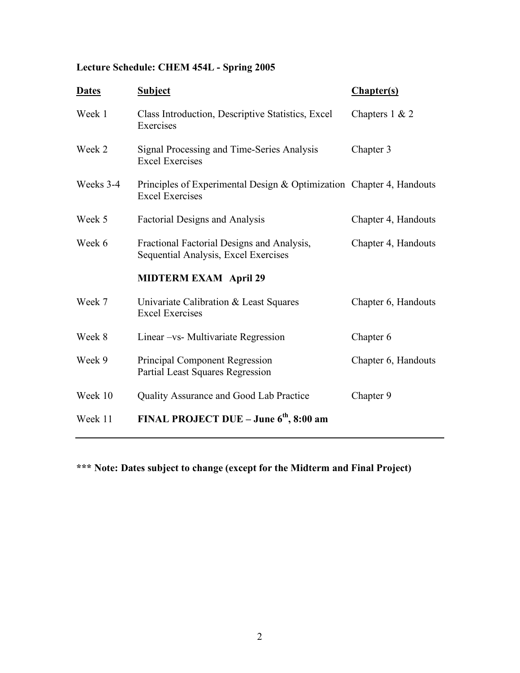# **Lecture Schedule: CHEM 454L - Spring 2005**

| <b>Subject</b>                                                                     | Chapter(s)                                                           |
|------------------------------------------------------------------------------------|----------------------------------------------------------------------|
| Class Introduction, Descriptive Statistics, Excel<br>Exercises                     | Chapters $1 & 2$                                                     |
| Signal Processing and Time-Series Analysis<br><b>Excel Exercises</b>               | Chapter 3                                                            |
| <b>Excel Exercises</b>                                                             |                                                                      |
| <b>Factorial Designs and Analysis</b>                                              | Chapter 4, Handouts                                                  |
| Fractional Factorial Designs and Analysis,<br>Sequential Analysis, Excel Exercises | Chapter 4, Handouts                                                  |
| <b>MIDTERM EXAM April 29</b>                                                       |                                                                      |
| Univariate Calibration & Least Squares<br><b>Excel Exercises</b>                   | Chapter 6, Handouts                                                  |
| Linear -vs- Multivariate Regression                                                | Chapter 6                                                            |
| Principal Component Regression<br>Partial Least Squares Regression                 | Chapter 6, Handouts                                                  |
| Quality Assurance and Good Lab Practice                                            | Chapter 9                                                            |
| FINAL PROJECT DUE – June $6th$ , 8:00 am                                           |                                                                      |
|                                                                                    | Principles of Experimental Design & Optimization Chapter 4, Handouts |

**\*\*\* Note: Dates subject to change (except for the Midterm and Final Project)**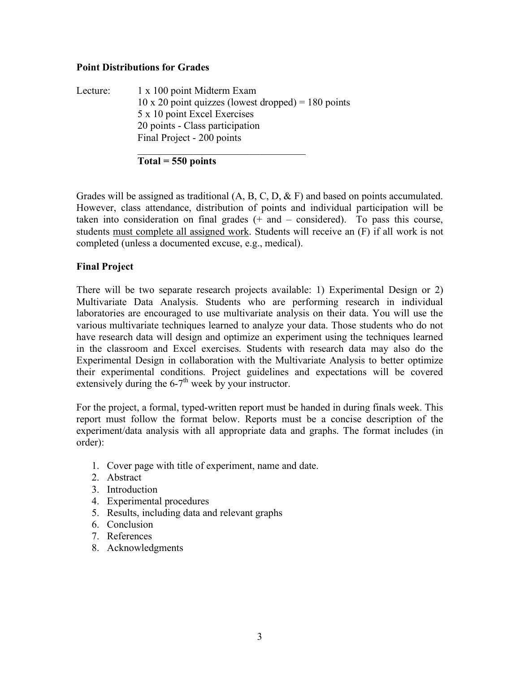#### **Point Distributions for Grades**

Lecture: 1 x 100 point Midterm Exam  $10 \times 20$  point quizzes (lowest dropped) = 180 points 5 x 10 point Excel Exercises 20 points - Class participation Final Project - 200 points  $\mathcal{L}_\text{max}$  , where  $\mathcal{L}_\text{max}$  and  $\mathcal{L}_\text{max}$  and  $\mathcal{L}_\text{max}$ 

**Total = 550 points**

Grades will be assigned as traditional  $(A, B, C, D, \& F)$  and based on points accumulated. However, class attendance, distribution of points and individual participation will be taken into consideration on final grades  $(+)$  and  $-$  considered). To pass this course, students must complete all assigned work. Students will receive an (F) if all work is not completed (unless a documented excuse, e.g., medical).

# **Final Project**

There will be two separate research projects available: 1) Experimental Design or 2) Multivariate Data Analysis. Students who are performing research in individual laboratories are encouraged to use multivariate analysis on their data. You will use the various multivariate techniques learned to analyze your data. Those students who do not have research data will design and optimize an experiment using the techniques learned in the classroom and Excel exercises. Students with research data may also do the Experimental Design in collaboration with the Multivariate Analysis to better optimize their experimental conditions. Project guidelines and expectations will be covered extensively during the  $6-7<sup>th</sup>$  week by your instructor.

For the project, a formal, typed-written report must be handed in during finals week. This report must follow the format below. Reports must be a concise description of the experiment/data analysis with all appropriate data and graphs. The format includes (in order):

- 1. Cover page with title of experiment, name and date.
- 2. Abstract
- 3. Introduction
- 4. Experimental procedures
- 5. Results, including data and relevant graphs
- 6. Conclusion
- 7. References
- 8. Acknowledgments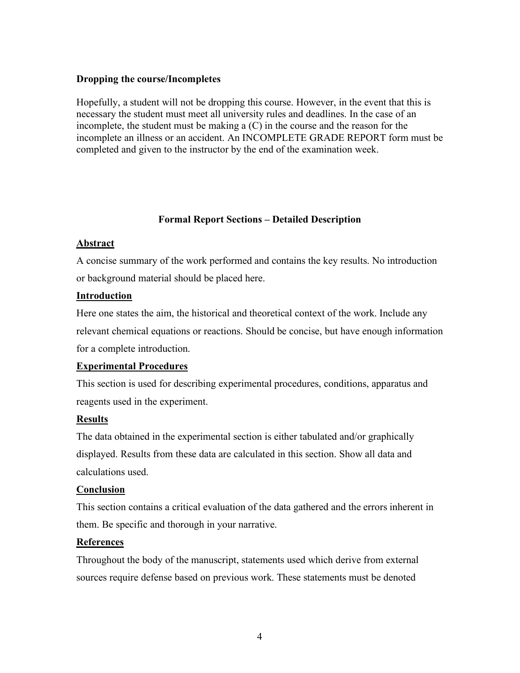#### **Dropping the course/Incompletes**

Hopefully, a student will not be dropping this course. However, in the event that this is necessary the student must meet all university rules and deadlines. In the case of an incomplete, the student must be making a (C) in the course and the reason for the incomplete an illness or an accident. An INCOMPLETE GRADE REPORT form must be completed and given to the instructor by the end of the examination week.

# **Formal Report Sections – Detailed Description**

#### **Abstract**

A concise summary of the work performed and contains the key results. No introduction or background material should be placed here.

#### **Introduction**

Here one states the aim, the historical and theoretical context of the work. Include any relevant chemical equations or reactions. Should be concise, but have enough information for a complete introduction.

# **Experimental Procedures**

This section is used for describing experimental procedures, conditions, apparatus and reagents used in the experiment.

# **Results**

The data obtained in the experimental section is either tabulated and/or graphically displayed. Results from these data are calculated in this section. Show all data and calculations used.

# **Conclusion**

This section contains a critical evaluation of the data gathered and the errors inherent in them. Be specific and thorough in your narrative.

# **References**

Throughout the body of the manuscript, statements used which derive from external sources require defense based on previous work. These statements must be denoted